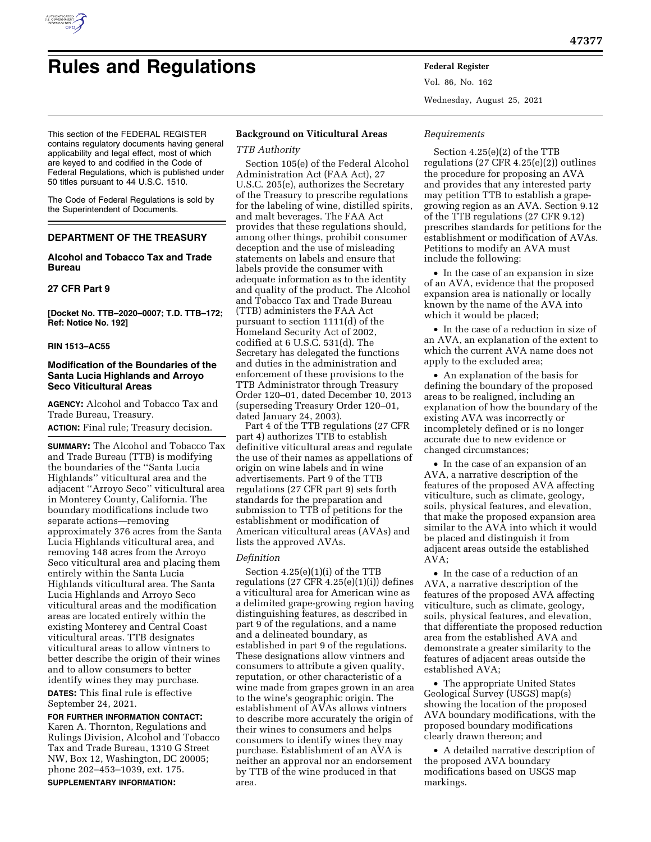

# **Rules and Regulations Federal Register**

Vol. 86, No. 162 Wednesday, August 25, 2021

This section of the FEDERAL REGISTER contains regulatory documents having general applicability and legal effect, most of which are keyed to and codified in the Code of Federal Regulations, which is published under 50 titles pursuant to 44 U.S.C. 1510.

The Code of Federal Regulations is sold by the Superintendent of Documents.

# **DEPARTMENT OF THE TREASURY**

# **Alcohol and Tobacco Tax and Trade Bureau**

# **27 CFR Part 9**

**[Docket No. TTB–2020–0007; T.D. TTB–172; Ref: Notice No. 192]** 

# **RIN 1513–AC55**

# **Modification of the Boundaries of the Santa Lucia Highlands and Arroyo Seco Viticultural Areas**

**AGENCY:** Alcohol and Tobacco Tax and Trade Bureau, Treasury.

**ACTION:** Final rule; Treasury decision.

**SUMMARY:** The Alcohol and Tobacco Tax and Trade Bureau (TTB) is modifying the boundaries of the ''Santa Lucia Highlands'' viticultural area and the adjacent ''Arroyo Seco'' viticultural area in Monterey County, California. The boundary modifications include two separate actions—removing approximately 376 acres from the Santa Lucia Highlands viticultural area, and removing 148 acres from the Arroyo Seco viticultural area and placing them entirely within the Santa Lucia Highlands viticultural area. The Santa Lucia Highlands and Arroyo Seco viticultural areas and the modification areas are located entirely within the existing Monterey and Central Coast viticultural areas. TTB designates viticultural areas to allow vintners to better describe the origin of their wines and to allow consumers to better identify wines they may purchase.

**DATES:** This final rule is effective September 24, 2021.

**FOR FURTHER INFORMATION CONTACT:**  Karen A. Thornton, Regulations and Rulings Division, Alcohol and Tobacco Tax and Trade Bureau, 1310 G Street NW, Box 12, Washington, DC 20005; phone 202–453–1039, ext. 175. **SUPPLEMENTARY INFORMATION:** 

# **Background on Viticultural Areas**

# *TTB Authority*

Section 105(e) of the Federal Alcohol Administration Act (FAA Act), 27 U.S.C. 205(e), authorizes the Secretary of the Treasury to prescribe regulations for the labeling of wine, distilled spirits, and malt beverages. The FAA Act provides that these regulations should, among other things, prohibit consumer deception and the use of misleading statements on labels and ensure that labels provide the consumer with adequate information as to the identity and quality of the product. The Alcohol and Tobacco Tax and Trade Bureau (TTB) administers the FAA Act pursuant to section 1111(d) of the Homeland Security Act of 2002, codified at 6 U.S.C. 531(d). The Secretary has delegated the functions and duties in the administration and enforcement of these provisions to the TTB Administrator through Treasury Order 120–01, dated December 10, 2013 (superseding Treasury Order 120–01, dated January 24, 2003).

Part 4 of the TTB regulations (27 CFR part 4) authorizes TTB to establish definitive viticultural areas and regulate the use of their names as appellations of origin on wine labels and in wine advertisements. Part 9 of the TTB regulations (27 CFR part 9) sets forth standards for the preparation and submission to TTB of petitions for the establishment or modification of American viticultural areas (AVAs) and lists the approved AVAs.

#### *Definition*

Section 4.25(e)(1)(i) of the TTB regulations (27 CFR  $4.25(e)(1)(i)$ ) defines a viticultural area for American wine as a delimited grape-growing region having distinguishing features, as described in part 9 of the regulations, and a name and a delineated boundary, as established in part 9 of the regulations. These designations allow vintners and consumers to attribute a given quality, reputation, or other characteristic of a wine made from grapes grown in an area to the wine's geographic origin. The establishment of AVAs allows vintners to describe more accurately the origin of their wines to consumers and helps consumers to identify wines they may purchase. Establishment of an AVA is neither an approval nor an endorsement by TTB of the wine produced in that area.

# *Requirements*

Section 4.25(e)(2) of the TTB regulations (27 CFR 4.25(e)(2)) outlines the procedure for proposing an AVA and provides that any interested party may petition TTB to establish a grapegrowing region as an AVA. Section 9.12 of the TTB regulations (27 CFR 9.12) prescribes standards for petitions for the establishment or modification of AVAs. Petitions to modify an AVA must include the following:

• In the case of an expansion in size of an AVA, evidence that the proposed expansion area is nationally or locally known by the name of the AVA into which it would be placed;

• In the case of a reduction in size of an AVA, an explanation of the extent to which the current AVA name does not apply to the excluded area;

• An explanation of the basis for defining the boundary of the proposed areas to be realigned, including an explanation of how the boundary of the existing AVA was incorrectly or incompletely defined or is no longer accurate due to new evidence or changed circumstances;

• In the case of an expansion of an AVA, a narrative description of the features of the proposed AVA affecting viticulture, such as climate, geology, soils, physical features, and elevation, that make the proposed expansion area similar to the AVA into which it would be placed and distinguish it from adjacent areas outside the established AVA;

• In the case of a reduction of an AVA, a narrative description of the features of the proposed AVA affecting viticulture, such as climate, geology, soils, physical features, and elevation, that differentiate the proposed reduction area from the established AVA and demonstrate a greater similarity to the features of adjacent areas outside the established AVA;

• The appropriate United States Geological Survey (USGS) map(s) showing the location of the proposed AVA boundary modifications, with the proposed boundary modifications clearly drawn thereon; and

• A detailed narrative description of the proposed AVA boundary modifications based on USGS map markings.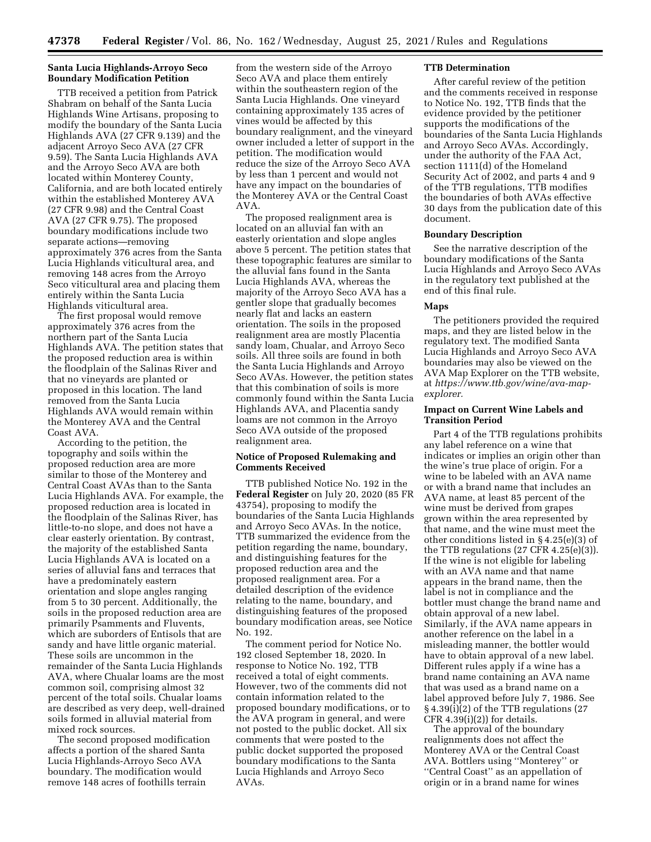# **Santa Lucia Highlands-Arroyo Seco Boundary Modification Petition**

TTB received a petition from Patrick Shabram on behalf of the Santa Lucia Highlands Wine Artisans, proposing to modify the boundary of the Santa Lucia Highlands AVA (27 CFR 9.139) and the adjacent Arroyo Seco AVA (27 CFR 9.59). The Santa Lucia Highlands AVA and the Arroyo Seco AVA are both located within Monterey County, California, and are both located entirely within the established Monterey AVA (27 CFR 9.98) and the Central Coast AVA (27 CFR 9.75). The proposed boundary modifications include two separate actions—removing approximately 376 acres from the Santa Lucia Highlands viticultural area, and removing 148 acres from the Arroyo Seco viticultural area and placing them entirely within the Santa Lucia Highlands viticultural area.

The first proposal would remove approximately 376 acres from the northern part of the Santa Lucia Highlands AVA. The petition states that the proposed reduction area is within the floodplain of the Salinas River and that no vineyards are planted or proposed in this location. The land removed from the Santa Lucia Highlands AVA would remain within the Monterey AVA and the Central Coast AVA.

According to the petition, the topography and soils within the proposed reduction area are more similar to those of the Monterey and Central Coast AVAs than to the Santa Lucia Highlands AVA. For example, the proposed reduction area is located in the floodplain of the Salinas River, has little-to-no slope, and does not have a clear easterly orientation. By contrast, the majority of the established Santa Lucia Highlands AVA is located on a series of alluvial fans and terraces that have a predominately eastern orientation and slope angles ranging from 5 to 30 percent. Additionally, the soils in the proposed reduction area are primarily Psamments and Fluvents, which are suborders of Entisols that are sandy and have little organic material. These soils are uncommon in the remainder of the Santa Lucia Highlands AVA, where Chualar loams are the most common soil, comprising almost 32 percent of the total soils. Chualar loams are described as very deep, well-drained soils formed in alluvial material from mixed rock sources.

The second proposed modification affects a portion of the shared Santa Lucia Highlands-Arroyo Seco AVA boundary. The modification would remove 148 acres of foothills terrain

from the western side of the Arroyo Seco AVA and place them entirely within the southeastern region of the Santa Lucia Highlands. One vineyard containing approximately 135 acres of vines would be affected by this boundary realignment, and the vineyard owner included a letter of support in the petition. The modification would reduce the size of the Arroyo Seco AVA by less than 1 percent and would not have any impact on the boundaries of the Monterey AVA or the Central Coast AVA.

The proposed realignment area is located on an alluvial fan with an easterly orientation and slope angles above 5 percent. The petition states that these topographic features are similar to the alluvial fans found in the Santa Lucia Highlands AVA, whereas the majority of the Arroyo Seco AVA has a gentler slope that gradually becomes nearly flat and lacks an eastern orientation. The soils in the proposed realignment area are mostly Placentia sandy loam, Chualar, and Arroyo Seco soils. All three soils are found in both the Santa Lucia Highlands and Arroyo Seco AVAs. However, the petition states that this combination of soils is more commonly found within the Santa Lucia Highlands AVA, and Placentia sandy loams are not common in the Arroyo Seco AVA outside of the proposed realignment area.

# **Notice of Proposed Rulemaking and Comments Received**

TTB published Notice No. 192 in the **Federal Register** on July 20, 2020 (85 FR 43754), proposing to modify the boundaries of the Santa Lucia Highlands and Arroyo Seco AVAs. In the notice, TTB summarized the evidence from the petition regarding the name, boundary, and distinguishing features for the proposed reduction area and the proposed realignment area. For a detailed description of the evidence relating to the name, boundary, and distinguishing features of the proposed boundary modification areas, see Notice No. 192.

The comment period for Notice No. 192 closed September 18, 2020. In response to Notice No. 192, TTB received a total of eight comments. However, two of the comments did not contain information related to the proposed boundary modifications, or to the AVA program in general, and were not posted to the public docket. All six comments that were posted to the public docket supported the proposed boundary modifications to the Santa Lucia Highlands and Arroyo Seco AVAs.

# **TTB Determination**

After careful review of the petition and the comments received in response to Notice No. 192, TTB finds that the evidence provided by the petitioner supports the modifications of the boundaries of the Santa Lucia Highlands and Arroyo Seco AVAs. Accordingly, under the authority of the FAA Act, section 1111(d) of the Homeland Security Act of 2002, and parts 4 and 9 of the TTB regulations, TTB modifies the boundaries of both AVAs effective 30 days from the publication date of this document.

#### **Boundary Description**

See the narrative description of the boundary modifications of the Santa Lucia Highlands and Arroyo Seco AVAs in the regulatory text published at the end of this final rule.

#### **Maps**

The petitioners provided the required maps, and they are listed below in the regulatory text. The modified Santa Lucia Highlands and Arroyo Seco AVA boundaries may also be viewed on the AVA Map Explorer on the TTB website, at *[https://www.ttb.gov/wine/ava-map](https://www.ttb.gov/wine/ava-map-explorer)[explorer.](https://www.ttb.gov/wine/ava-map-explorer)* 

# **Impact on Current Wine Labels and Transition Period**

Part 4 of the TTB regulations prohibits any label reference on a wine that indicates or implies an origin other than the wine's true place of origin. For a wine to be labeled with an AVA name or with a brand name that includes an AVA name, at least 85 percent of the wine must be derived from grapes grown within the area represented by that name, and the wine must meet the other conditions listed in § 4.25(e)(3) of the TTB regulations (27 CFR 4.25(e)(3)). If the wine is not eligible for labeling with an AVA name and that name appears in the brand name, then the label is not in compliance and the bottler must change the brand name and obtain approval of a new label. Similarly, if the AVA name appears in another reference on the label in a misleading manner, the bottler would have to obtain approval of a new label. Different rules apply if a wine has a brand name containing an AVA name that was used as a brand name on a label approved before July 7, 1986. See § 4.39(i)(2) of the TTB regulations (27 CFR  $4.39(i)(2)$  for details.

The approval of the boundary realignments does not affect the Monterey AVA or the Central Coast AVA. Bottlers using ''Monterey'' or ''Central Coast'' as an appellation of origin or in a brand name for wines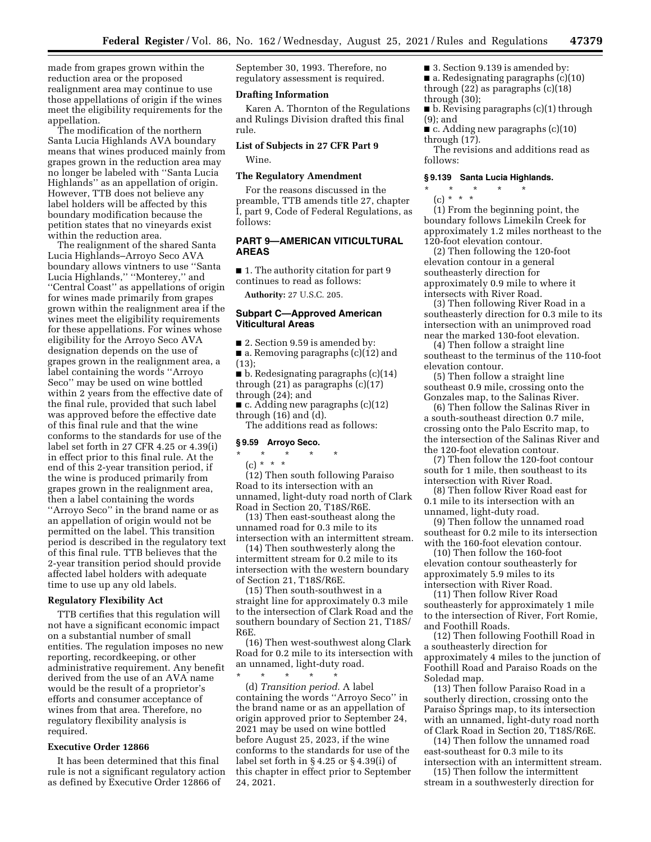made from grapes grown within the reduction area or the proposed realignment area may continue to use those appellations of origin if the wines meet the eligibility requirements for the appellation.

The modification of the northern Santa Lucia Highlands AVA boundary means that wines produced mainly from grapes grown in the reduction area may no longer be labeled with ''Santa Lucia Highlands'' as an appellation of origin. However, TTB does not believe any label holders will be affected by this boundary modification because the petition states that no vineyards exist within the reduction area.

The realignment of the shared Santa Lucia Highlands–Arroyo Seco AVA boundary allows vintners to use ''Santa Lucia Highlands,'' ''Monterey,'' and ''Central Coast'' as appellations of origin for wines made primarily from grapes grown within the realignment area if the wines meet the eligibility requirements for these appellations. For wines whose eligibility for the Arroyo Seco AVA designation depends on the use of grapes grown in the realignment area, a label containing the words ''Arroyo Seco'' may be used on wine bottled within 2 years from the effective date of the final rule, provided that such label was approved before the effective date of this final rule and that the wine conforms to the standards for use of the label set forth in 27 CFR 4.25 or 4.39(i) in effect prior to this final rule. At the end of this 2-year transition period, if the wine is produced primarily from grapes grown in the realignment area, then a label containing the words ''Arroyo Seco'' in the brand name or as an appellation of origin would not be permitted on the label. This transition period is described in the regulatory text of this final rule. TTB believes that the 2-year transition period should provide affected label holders with adequate time to use up any old labels.

# **Regulatory Flexibility Act**

TTB certifies that this regulation will not have a significant economic impact on a substantial number of small entities. The regulation imposes no new reporting, recordkeeping, or other administrative requirement. Any benefit derived from the use of an AVA name would be the result of a proprietor's efforts and consumer acceptance of wines from that area. Therefore, no regulatory flexibility analysis is required.

# **Executive Order 12866**

It has been determined that this final rule is not a significant regulatory action as defined by Executive Order 12866 of

September 30, 1993. Therefore, no regulatory assessment is required.

# **Drafting Information**

Karen A. Thornton of the Regulations and Rulings Division drafted this final rule.

# **List of Subjects in 27 CFR Part 9**  Wine.

# **The Regulatory Amendment**

For the reasons discussed in the preamble, TTB amends title 27, chapter I, part 9, Code of Federal Regulations, as follows:

# **PART 9—AMERICAN VITICULTURAL AREAS**

■ 1. The authority citation for part 9 continues to read as follows:

**Authority:** 27 U.S.C. 205.

# **Subpart C—Approved American Viticultural Areas**

■ 2. Section 9.59 is amended by: ■ a. Removing paragraphs (c)(12) and (13);

■ b. Redesignating paragraphs (c)(14) through  $(21)$  as paragraphs  $(c)(17)$ through (24); and

■ c. Adding new paragraphs (c)(12) through (16) and (d).

The additions read as follows:

#### **§ 9.59 Arroyo Seco.**

# \* \* \* \* \*

# $(c) * * * *$

(12) Then south following Paraiso Road to its intersection with an unnamed, light-duty road north of Clark Road in Section 20, T18S/R6E.

(13) Then east-southeast along the unnamed road for 0.3 mile to its intersection with an intermittent stream.

(14) Then southwesterly along the intermittent stream for 0.2 mile to its intersection with the western boundary of Section 21, T18S/R6E.

(15) Then south-southwest in a straight line for approximately 0.3 mile to the intersection of Clark Road and the southern boundary of Section 21, T18S/ R6E.

(16) Then west-southwest along Clark Road for 0.2 mile to its intersection with an unnamed, light-duty road. \* \* \* \* \*

(d) *Transition period.* A label containing the words ''Arroyo Seco'' in the brand name or as an appellation of origin approved prior to September 24, 2021 may be used on wine bottled before August 25, 2023, if the wine conforms to the standards for use of the label set forth in § 4.25 or § 4.39(i) of this chapter in effect prior to September 24, 2021.

■ 3. Section 9.139 is amended by: ■ a. Redesignating paragraphs (c)(10) through (22) as paragraphs (c)(18) through (30);

■ b. Revising paragraphs (c)(1) through (9); and

■ c. Adding new paragraphs (c)(10) through (17).

The revisions and additions read as follows:

#### **§ 9.139 Santa Lucia Highlands.**

\* \* \* \* \*  $(c) * * * *$ 

(1) From the beginning point, the boundary follows Limekiln Creek for approximately 1.2 miles northeast to the 120-foot elevation contour.

(2) Then following the 120-foot elevation contour in a general southeasterly direction for approximately 0.9 mile to where it intersects with River Road.

(3) Then following River Road in a southeasterly direction for 0.3 mile to its intersection with an unimproved road near the marked 130-foot elevation.

(4) Then follow a straight line southeast to the terminus of the 110-foot elevation contour.

(5) Then follow a straight line southeast 0.9 mile, crossing onto the Gonzales map, to the Salinas River.

(6) Then follow the Salinas River in a south-southeast direction 0.7 mile, crossing onto the Palo Escrito map, to the intersection of the Salinas River and the 120-foot elevation contour.

(7) Then follow the 120-foot contour south for 1 mile, then southeast to its intersection with River Road.

(8) Then follow River Road east for 0.1 mile to its intersection with an unnamed, light-duty road.

(9) Then follow the unnamed road southeast for 0.2 mile to its intersection with the 160-foot elevation contour.

(10) Then follow the 160-foot elevation contour southeasterly for approximately 5.9 miles to its intersection with River Road.

(11) Then follow River Road southeasterly for approximately 1 mile to the intersection of River, Fort Romie, and Foothill Roads.

(12) Then following Foothill Road in a southeasterly direction for approximately 4 miles to the junction of Foothill Road and Paraiso Roads on the Soledad map.

(13) Then follow Paraiso Road in a southerly direction, crossing onto the Paraiso Springs map, to its intersection with an unnamed, light-duty road north of Clark Road in Section 20, T18S/R6E.

(14) Then follow the unnamed road east-southeast for 0.3 mile to its intersection with an intermittent stream.

(15) Then follow the intermittent stream in a southwesterly direction for